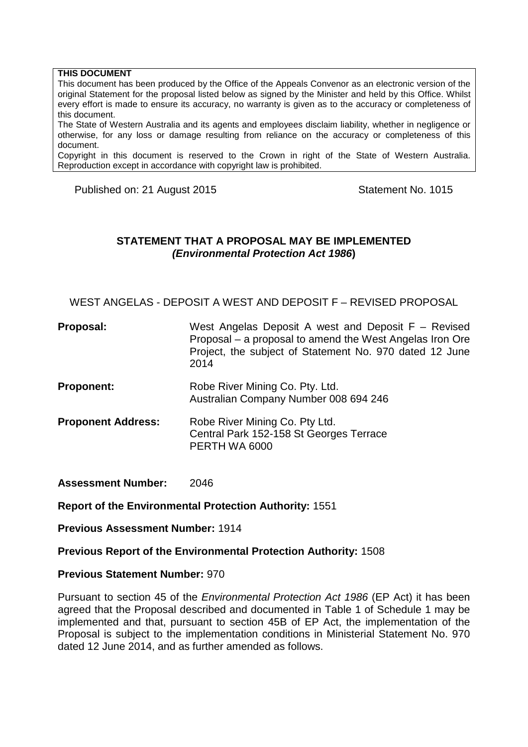#### **THIS DOCUMENT**

This document has been produced by the Office of the Appeals Convenor as an electronic version of the original Statement for the proposal listed below as signed by the Minister and held by this Office. Whilst every effort is made to ensure its accuracy, no warranty is given as to the accuracy or completeness of this document.

The State of Western Australia and its agents and employees disclaim liability, whether in negligence or otherwise, for any loss or damage resulting from reliance on the accuracy or completeness of this document.

Copyright in this document is reserved to the Crown in right of the State of Western Australia. Reproduction except in accordance with copyright law is prohibited.

Published on: 21 August 2015 Statement No. 1015

### **STATEMENT THAT A PROPOSAL MAY BE IMPLEMENTED** *(Environmental Protection Act 1986***)**

WEST ANGELAS - DEPOSIT A WEST AND DEPOSIT F – REVISED PROPOSAL

| Proposal: | West Angelas Deposit A west and Deposit $F -$ Revised    |
|-----------|----------------------------------------------------------|
|           | Proposal – a proposal to amend the West Angelas Iron Ore |
|           | Project, the subject of Statement No. 970 dated 12 June  |
|           | 2014                                                     |

- **Proponent:** Robe River Mining Co. Pty. Ltd. Australian Company Number 008 694 246
- **Proponent Address:** Robe River Mining Co. Pty Ltd. Central Park 152-158 St Georges Terrace PERTH WA 6000

**Assessment Number:** 2046

**Report of the Environmental Protection Authority:** 1551

**Previous Assessment Number:** 1914

#### **Previous Report of the Environmental Protection Authority:** 1508

#### **Previous Statement Number:** 970

Pursuant to section 45 of the *Environmental Protection Act 1986* (EP Act) it has been agreed that the Proposal described and documented in Table 1 of Schedule 1 may be implemented and that, pursuant to section 45B of EP Act, the implementation of the Proposal is subject to the implementation conditions in Ministerial Statement No. 970 dated 12 June 2014, and as further amended as follows.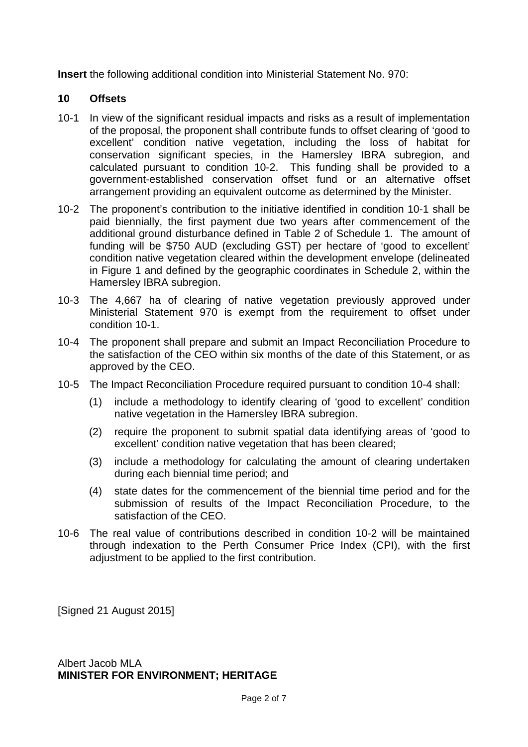**Insert** the following additional condition into Ministerial Statement No. 970:

## **10 Offsets**

- 10-1 In view of the significant residual impacts and risks as a result of implementation of the proposal, the proponent shall contribute funds to offset clearing of 'good to excellent' condition native vegetation, including the loss of habitat for conservation significant species, in the Hamersley IBRA subregion, and calculated pursuant to condition 10-2. This funding shall be provided to a government-established conservation offset fund or an alternative offset arrangement providing an equivalent outcome as determined by the Minister.
- 10-2 The proponent's contribution to the initiative identified in condition 10-1 shall be paid biennially, the first payment due two years after commencement of the additional ground disturbance defined in Table 2 of Schedule 1. The amount of funding will be \$750 AUD (excluding GST) per hectare of 'good to excellent' condition native vegetation cleared within the development envelope (delineated in Figure 1 and defined by the geographic coordinates in Schedule 2, within the Hamersley IBRA subregion.
- 10-3 The 4,667 ha of clearing of native vegetation previously approved under Ministerial Statement 970 is exempt from the requirement to offset under condition 10-1.
- 10-4 The proponent shall prepare and submit an Impact Reconciliation Procedure to the satisfaction of the CEO within six months of the date of this Statement, or as approved by the CEO.
- 10-5 The Impact Reconciliation Procedure required pursuant to condition 10-4 shall:
	- (1) include a methodology to identify clearing of 'good to excellent' condition native vegetation in the Hamersley IBRA subregion.
	- (2) require the proponent to submit spatial data identifying areas of 'good to excellent' condition native vegetation that has been cleared;
	- (3) include a methodology for calculating the amount of clearing undertaken during each biennial time period; and
	- (4) state dates for the commencement of the biennial time period and for the submission of results of the Impact Reconciliation Procedure, to the satisfaction of the CEO.
- 10-6 The real value of contributions described in condition 10-2 will be maintained through indexation to the Perth Consumer Price Index (CPI), with the first adjustment to be applied to the first contribution.

[Signed 21 August 2015]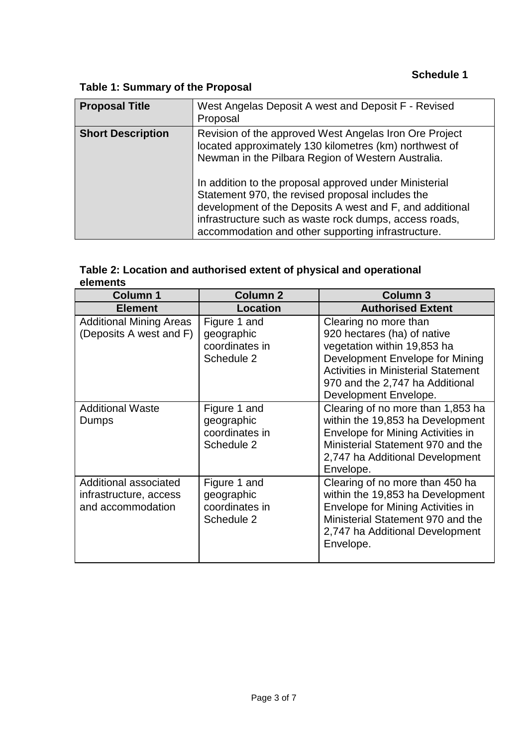# **Table 1: Summary of the Proposal**

| <b>Proposal Title</b>    | West Angelas Deposit A west and Deposit F - Revised<br>Proposal                                                                                                                                                                                                                                                                                                                                                                                                  |
|--------------------------|------------------------------------------------------------------------------------------------------------------------------------------------------------------------------------------------------------------------------------------------------------------------------------------------------------------------------------------------------------------------------------------------------------------------------------------------------------------|
| <b>Short Description</b> | Revision of the approved West Angelas Iron Ore Project<br>located approximately 130 kilometres (km) northwest of<br>Newman in the Pilbara Region of Western Australia.<br>In addition to the proposal approved under Ministerial<br>Statement 970, the revised proposal includes the<br>development of the Deposits A west and F, and additional<br>infrastructure such as waste rock dumps, access roads,<br>accommodation and other supporting infrastructure. |

## **Table 2: Location and authorised extent of physical and operational elements**

| <b>Column 1</b>                                                      | <b>Column 2</b>                                            | <b>Column 3</b>                                                                                                                                                                                                                  |
|----------------------------------------------------------------------|------------------------------------------------------------|----------------------------------------------------------------------------------------------------------------------------------------------------------------------------------------------------------------------------------|
| <b>Element</b>                                                       | <b>Location</b>                                            | <b>Authorised Extent</b>                                                                                                                                                                                                         |
| <b>Additional Mining Areas</b><br>(Deposits A west and F)            | Figure 1 and<br>geographic<br>coordinates in<br>Schedule 2 | Clearing no more than<br>920 hectares (ha) of native<br>vegetation within 19,853 ha<br>Development Envelope for Mining<br><b>Activities in Ministerial Statement</b><br>970 and the 2,747 ha Additional<br>Development Envelope. |
| <b>Additional Waste</b><br>Dumps                                     | Figure 1 and<br>geographic<br>coordinates in<br>Schedule 2 | Clearing of no more than 1,853 ha<br>within the 19,853 ha Development<br>Envelope for Mining Activities in<br>Ministerial Statement 970 and the<br>2,747 ha Additional Development<br>Envelope.                                  |
| Additional associated<br>infrastructure, access<br>and accommodation | Figure 1 and<br>geographic<br>coordinates in<br>Schedule 2 | Clearing of no more than 450 ha<br>within the 19,853 ha Development<br>Envelope for Mining Activities in<br>Ministerial Statement 970 and the<br>2,747 ha Additional Development<br>Envelope.                                    |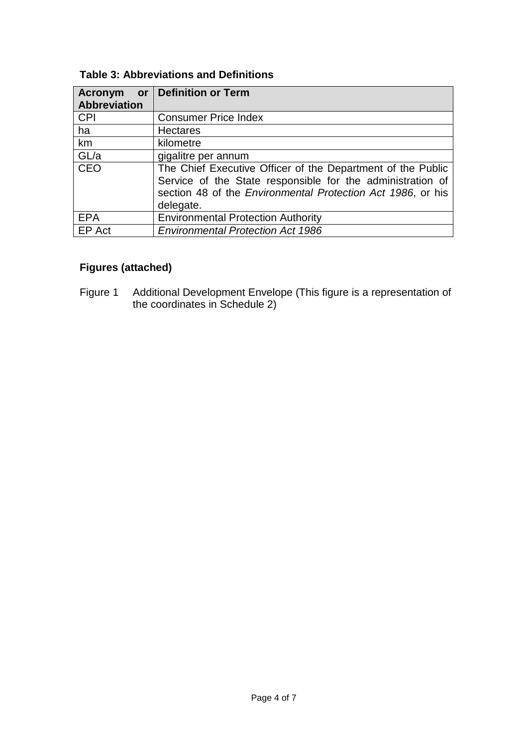| Acronym      | or   Definition or Term                                                                                                                                                                               |
|--------------|-------------------------------------------------------------------------------------------------------------------------------------------------------------------------------------------------------|
| Abbreviation |                                                                                                                                                                                                       |
| <b>CPI</b>   | <b>Consumer Price Index</b>                                                                                                                                                                           |
| ha           | <b>Hectares</b>                                                                                                                                                                                       |
| km           | kilometre                                                                                                                                                                                             |
| GL/a         | gigalitre per annum                                                                                                                                                                                   |
| <b>CEO</b>   | The Chief Executive Officer of the Department of the Public<br>Service of the State responsible for the administration of<br>section 48 of the Environmental Protection Act 1986, or his<br>delegate. |
| <b>EPA</b>   | <b>Environmental Protection Authority</b>                                                                                                                                                             |
| EP Act       | <b>Environmental Protection Act 1986</b>                                                                                                                                                              |

# **Figures (attached)**

Figure 1 Additional Development Envelope (This figure is a representation of the coordinates in Schedule 2)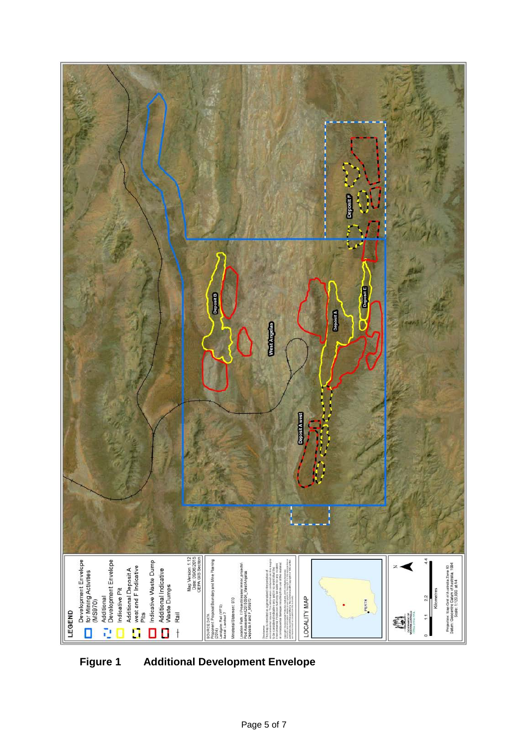

**Figure 1 Additional Development Envelope**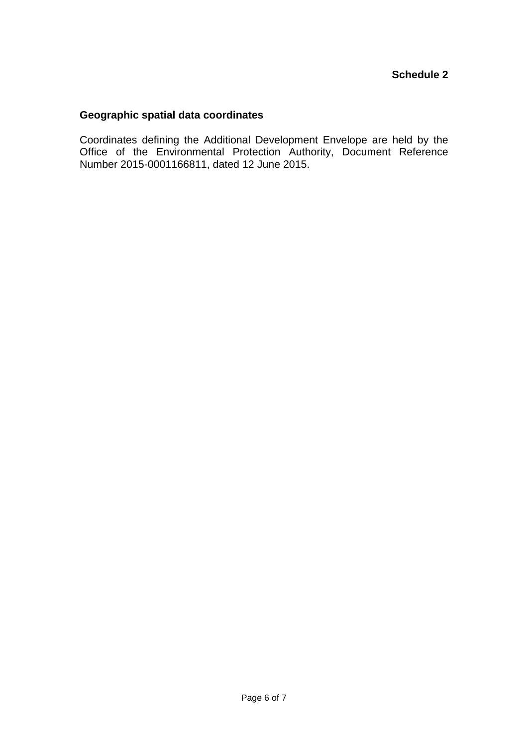## **Geographic spatial data coordinates**

Coordinates defining the Additional Development Envelope are held by the Office of the Environmental Protection Authority, Document Reference Number 2015-0001166811, dated 12 June 2015.